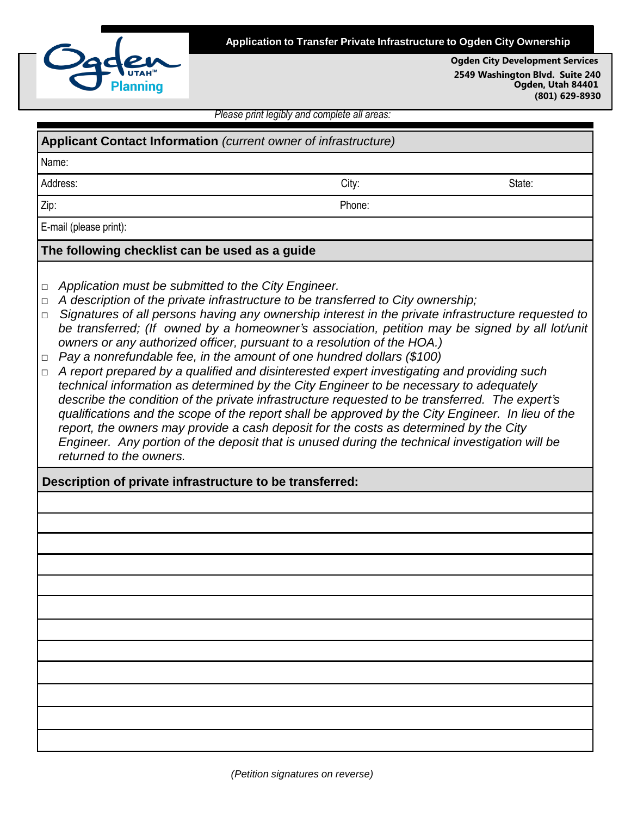

**Application to Transfer Private Infrastructure to Ogden City Ownership**

**Ogden City Development Services 2549 Washington Blvd. Suite 240 Ogden, Utah 84401 (801) 629-8930**

*Please print legibly and complete all areas:*

| Applicant Contact Information (current owner of infrastructure)                                                                                                                                                                                                                                                                                                                                                                                                                                                                                                                                                                                                                                                                                                                                                                                                                                                                                                                                                                                                                                                                                                                                                              |        |        |  |  |
|------------------------------------------------------------------------------------------------------------------------------------------------------------------------------------------------------------------------------------------------------------------------------------------------------------------------------------------------------------------------------------------------------------------------------------------------------------------------------------------------------------------------------------------------------------------------------------------------------------------------------------------------------------------------------------------------------------------------------------------------------------------------------------------------------------------------------------------------------------------------------------------------------------------------------------------------------------------------------------------------------------------------------------------------------------------------------------------------------------------------------------------------------------------------------------------------------------------------------|--------|--------|--|--|
| Name:                                                                                                                                                                                                                                                                                                                                                                                                                                                                                                                                                                                                                                                                                                                                                                                                                                                                                                                                                                                                                                                                                                                                                                                                                        |        |        |  |  |
| Address:                                                                                                                                                                                                                                                                                                                                                                                                                                                                                                                                                                                                                                                                                                                                                                                                                                                                                                                                                                                                                                                                                                                                                                                                                     | City:  | State: |  |  |
| Zip:                                                                                                                                                                                                                                                                                                                                                                                                                                                                                                                                                                                                                                                                                                                                                                                                                                                                                                                                                                                                                                                                                                                                                                                                                         | Phone: |        |  |  |
| E-mail (please print):                                                                                                                                                                                                                                                                                                                                                                                                                                                                                                                                                                                                                                                                                                                                                                                                                                                                                                                                                                                                                                                                                                                                                                                                       |        |        |  |  |
| The following checklist can be used as a guide                                                                                                                                                                                                                                                                                                                                                                                                                                                                                                                                                                                                                                                                                                                                                                                                                                                                                                                                                                                                                                                                                                                                                                               |        |        |  |  |
| Application must be submitted to the City Engineer.<br>□<br>A description of the private infrastructure to be transferred to City ownership;<br>□<br>Signatures of all persons having any ownership interest in the private infrastructure requested to<br>$\Box$<br>be transferred; (If owned by a homeowner's association, petition may be signed by all lot/unit<br>owners or any authorized officer, pursuant to a resolution of the HOA.)<br>Pay a nonrefundable fee, in the amount of one hundred dollars (\$100)<br>$\Box$<br>A report prepared by a qualified and disinterested expert investigating and providing such<br>$\Box$<br>technical information as determined by the City Engineer to be necessary to adequately<br>describe the condition of the private infrastructure requested to be transferred. The expert's<br>qualifications and the scope of the report shall be approved by the City Engineer. In lieu of the<br>report, the owners may provide a cash deposit for the costs as determined by the City<br>Engineer. Any portion of the deposit that is unused during the technical investigation will be<br>returned to the owners.<br>Description of private infrastructure to be transferred: |        |        |  |  |